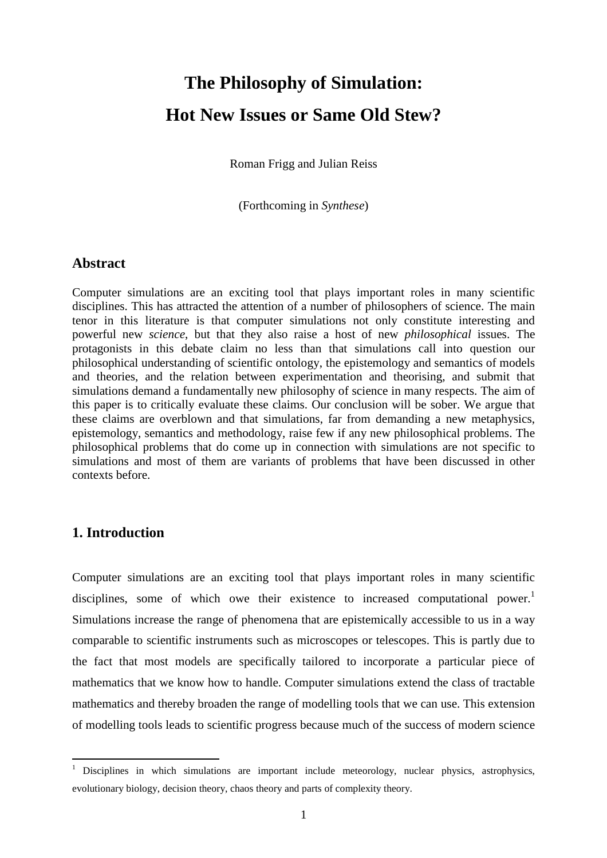# **The Philosophy of Simulation: Hot New Issues or Same Old Stew?**

Roman Frigg and Julian Reiss

(Forthcoming in *Synthese*)

#### **Abstract**

Computer simulations are an exciting tool that plays important roles in many scientific disciplines. This has attracted the attention of a number of philosophers of science. The main tenor in this literature is that computer simulations not only constitute interesting and powerful new *science*, but that they also raise a host of new *philosophical* issues. The protagonists in this debate claim no less than that simulations call into question our philosophical understanding of scientific ontology, the epistemology and semantics of models and theories, and the relation between experimentation and theorising, and submit that simulations demand a fundamentally new philosophy of science in many respects. The aim of this paper is to critically evaluate these claims. Our conclusion will be sober. We argue that these claims are overblown and that simulations, far from demanding a new metaphysics, epistemology, semantics and methodology, raise few if any new philosophical problems. The philosophical problems that do come up in connection with simulations are not specific to simulations and most of them are variants of problems that have been discussed in other contexts before.

### **1. Introduction**

Computer simulations are an exciting tool that plays important roles in many scientific disciplines, some of which owe their existence to increased computational power.<sup>1</sup> Simulations increase the range of phenomena that are epistemically accessible to us in a way comparable to scientific instruments such as microscopes or telescopes. This is partly due to the fact that most models are specifically tailored to incorporate a particular piece of mathematics that we know how to handle. Computer simulations extend the class of tractable mathematics and thereby broaden the range of modelling tools that we can use. This extension of modelling tools leads to scientific progress because much of the success of modern science

 1 Disciplines in which simulations are important include meteorology, nuclear physics, astrophysics, evolutionary biology, decision theory, chaos theory and parts of complexity theory.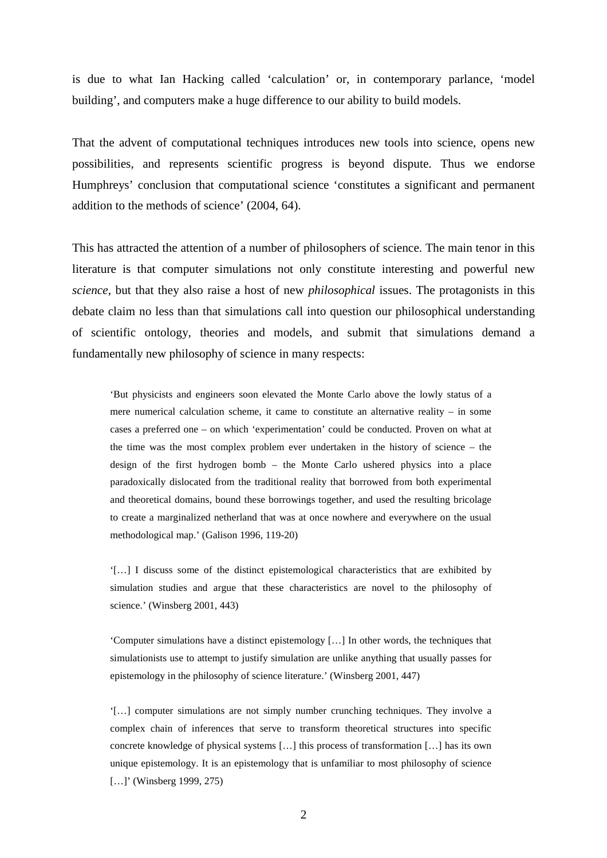is due to what Ian Hacking called 'calculation' or, in contemporary parlance, 'model building', and computers make a huge difference to our ability to build models.

That the advent of computational techniques introduces new tools into science, opens new possibilities, and represents scientific progress is beyond dispute. Thus we endorse Humphreys' conclusion that computational science 'constitutes a significant and permanent addition to the methods of science' (2004, 64).

This has attracted the attention of a number of philosophers of science. The main tenor in this literature is that computer simulations not only constitute interesting and powerful new *science*, but that they also raise a host of new *philosophical* issues. The protagonists in this debate claim no less than that simulations call into question our philosophical understanding of scientific ontology, theories and models, and submit that simulations demand a fundamentally new philosophy of science in many respects:

'But physicists and engineers soon elevated the Monte Carlo above the lowly status of a mere numerical calculation scheme, it came to constitute an alternative reality – in some cases a preferred one – on which 'experimentation' could be conducted. Proven on what at the time was the most complex problem ever undertaken in the history of science – the design of the first hydrogen bomb – the Monte Carlo ushered physics into a place paradoxically dislocated from the traditional reality that borrowed from both experimental and theoretical domains, bound these borrowings together, and used the resulting bricolage to create a marginalized netherland that was at once nowhere and everywhere on the usual methodological map.' (Galison 1996, 119-20)

'[…] I discuss some of the distinct epistemological characteristics that are exhibited by simulation studies and argue that these characteristics are novel to the philosophy of science.' (Winsberg 2001, 443)

'Computer simulations have a distinct epistemology […] In other words, the techniques that simulationists use to attempt to justify simulation are unlike anything that usually passes for epistemology in the philosophy of science literature.' (Winsberg 2001, 447)

'[…] computer simulations are not simply number crunching techniques. They involve a complex chain of inferences that serve to transform theoretical structures into specific concrete knowledge of physical systems […] this process of transformation […] has its own unique epistemology. It is an epistemology that is unfamiliar to most philosophy of science [...]' (Winsberg 1999, 275)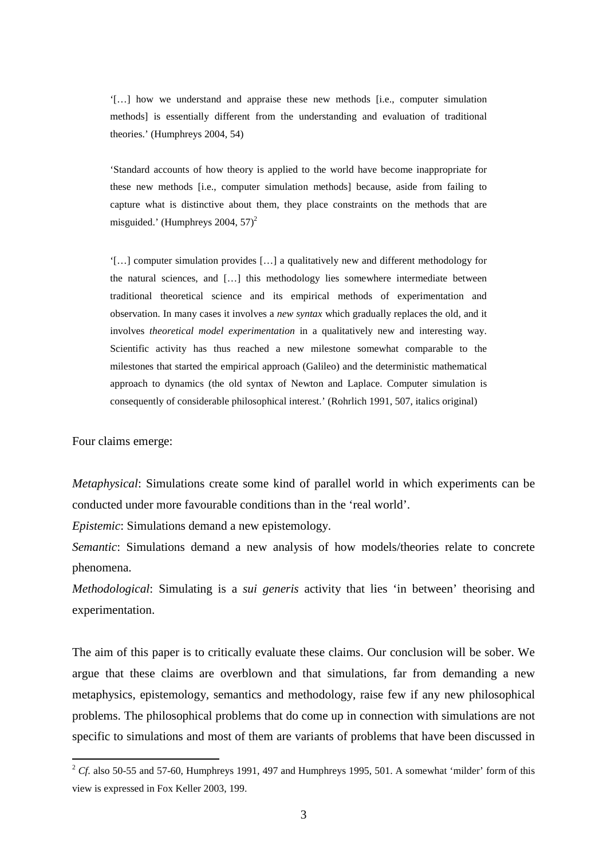'[…] how we understand and appraise these new methods [i.e., computer simulation methods] is essentially different from the understanding and evaluation of traditional theories.' (Humphreys 2004, 54)

'Standard accounts of how theory is applied to the world have become inappropriate for these new methods [i.e., computer simulation methods] because, aside from failing to capture what is distinctive about them, they place constraints on the methods that are misguided.' (Humphreys 2004, 57) $^2$ 

'[…] computer simulation provides […] a qualitatively new and different methodology for the natural sciences, and […] this methodology lies somewhere intermediate between traditional theoretical science and its empirical methods of experimentation and observation. In many cases it involves a *new syntax* which gradually replaces the old, and it involves *theoretical model experimentation* in a qualitatively new and interesting way. Scientific activity has thus reached a new milestone somewhat comparable to the milestones that started the empirical approach (Galileo) and the deterministic mathematical approach to dynamics (the old syntax of Newton and Laplace. Computer simulation is consequently of considerable philosophical interest.' (Rohrlich 1991, 507, italics original)

Four claims emerge:

 $\overline{a}$ 

*Metaphysical*: Simulations create some kind of parallel world in which experiments can be conducted under more favourable conditions than in the 'real world'.

*Epistemic*: Simulations demand a new epistemology.

*Semantic*: Simulations demand a new analysis of how models/theories relate to concrete phenomena.

*Methodological*: Simulating is a *sui generis* activity that lies 'in between' theorising and experimentation.

The aim of this paper is to critically evaluate these claims. Our conclusion will be sober. We argue that these claims are overblown and that simulations, far from demanding a new metaphysics, epistemology, semantics and methodology, raise few if any new philosophical problems. The philosophical problems that do come up in connection with simulations are not specific to simulations and most of them are variants of problems that have been discussed in

 $2 \text{ }$  *Cf.* also 50-55 and 57-60, Humphreys 1991, 497 and Humphreys 1995, 501. A somewhat 'milder' form of this view is expressed in Fox Keller 2003, 199.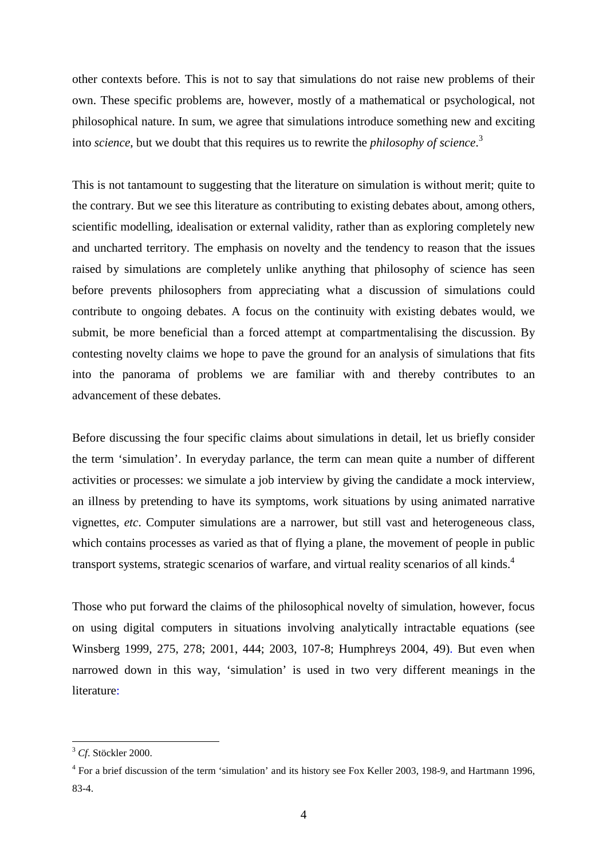other contexts before. This is not to say that simulations do not raise new problems of their own. These specific problems are, however, mostly of a mathematical or psychological, not philosophical nature. In sum, we agree that simulations introduce something new and exciting into *science*, but we doubt that this requires us to rewrite the *philosophy of science*. 3

This is not tantamount to suggesting that the literature on simulation is without merit; quite to the contrary. But we see this literature as contributing to existing debates about, among others, scientific modelling, idealisation or external validity, rather than as exploring completely new and uncharted territory. The emphasis on novelty and the tendency to reason that the issues raised by simulations are completely unlike anything that philosophy of science has seen before prevents philosophers from appreciating what a discussion of simulations could contribute to ongoing debates. A focus on the continuity with existing debates would, we submit, be more beneficial than a forced attempt at compartmentalising the discussion. By contesting novelty claims we hope to pave the ground for an analysis of simulations that fits into the panorama of problems we are familiar with and thereby contributes to an advancement of these debates.

Before discussing the four specific claims about simulations in detail, let us briefly consider the term 'simulation'. In everyday parlance, the term can mean quite a number of different activities or processes: we simulate a job interview by giving the candidate a mock interview, an illness by pretending to have its symptoms, work situations by using animated narrative vignettes, *etc*. Computer simulations are a narrower, but still vast and heterogeneous class, which contains processes as varied as that of flying a plane, the movement of people in public transport systems, strategic scenarios of warfare, and virtual reality scenarios of all kinds.<sup>4</sup>

Those who put forward the claims of the philosophical novelty of simulation, however, focus on using digital computers in situations involving analytically intractable equations (see Winsberg 1999, 275, 278; 2001, 444; 2003, 107-8; Humphreys 2004, 49). But even when narrowed down in this way, 'simulation' is used in two very different meanings in the literature:

<sup>3</sup> *Cf*. Stöckler 2000.

<sup>&</sup>lt;sup>4</sup> For a brief discussion of the term 'simulation' and its history see Fox Keller 2003, 198-9, and Hartmann 1996, 83-4.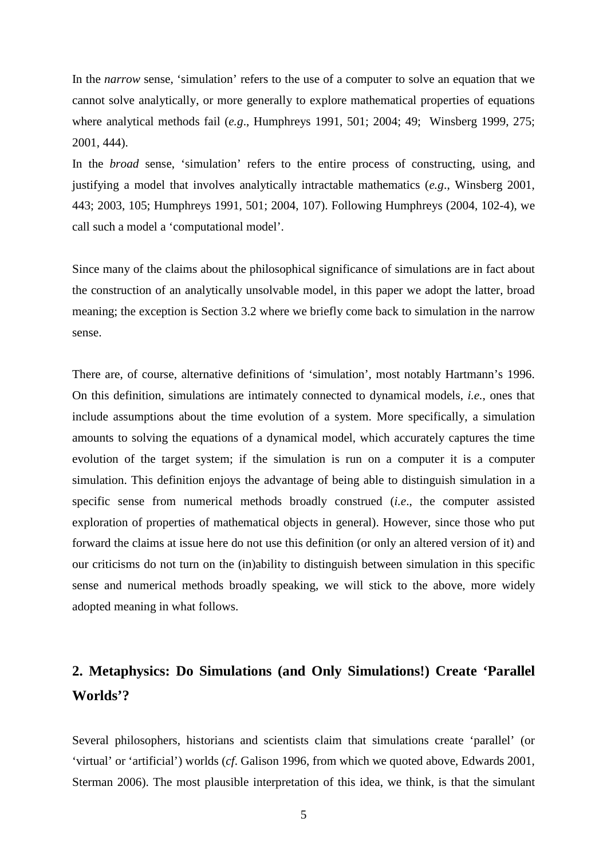In the *narrow* sense, 'simulation' refers to the use of a computer to solve an equation that we cannot solve analytically, or more generally to explore mathematical properties of equations where analytical methods fail (*e.g*., Humphreys 1991, 501; 2004; 49; Winsberg 1999, 275; 2001, 444).

In the *broad* sense, 'simulation' refers to the entire process of constructing, using, and justifying a model that involves analytically intractable mathematics (*e.g*., Winsberg 2001, 443; 2003, 105; Humphreys 1991, 501; 2004, 107). Following Humphreys (2004, 102-4), we call such a model a 'computational model'.

Since many of the claims about the philosophical significance of simulations are in fact about the construction of an analytically unsolvable model, in this paper we adopt the latter, broad meaning; the exception is Section 3.2 where we briefly come back to simulation in the narrow sense.

There are, of course, alternative definitions of 'simulation', most notably Hartmann's 1996. On this definition, simulations are intimately connected to dynamical models, *i.e.*, ones that include assumptions about the time evolution of a system. More specifically, a simulation amounts to solving the equations of a dynamical model, which accurately captures the time evolution of the target system; if the simulation is run on a computer it is a computer simulation. This definition enjoys the advantage of being able to distinguish simulation in a specific sense from numerical methods broadly construed (*i.e*., the computer assisted exploration of properties of mathematical objects in general). However, since those who put forward the claims at issue here do not use this definition (or only an altered version of it) and our criticisms do not turn on the (in)ability to distinguish between simulation in this specific sense and numerical methods broadly speaking, we will stick to the above, more widely adopted meaning in what follows.

# **2. Metaphysics: Do Simulations (and Only Simulations!) Create 'Parallel Worlds'?**

Several philosophers, historians and scientists claim that simulations create 'parallel' (or 'virtual' or 'artificial') worlds (*cf*. Galison 1996, from which we quoted above, Edwards 2001, Sterman 2006). The most plausible interpretation of this idea, we think, is that the simulant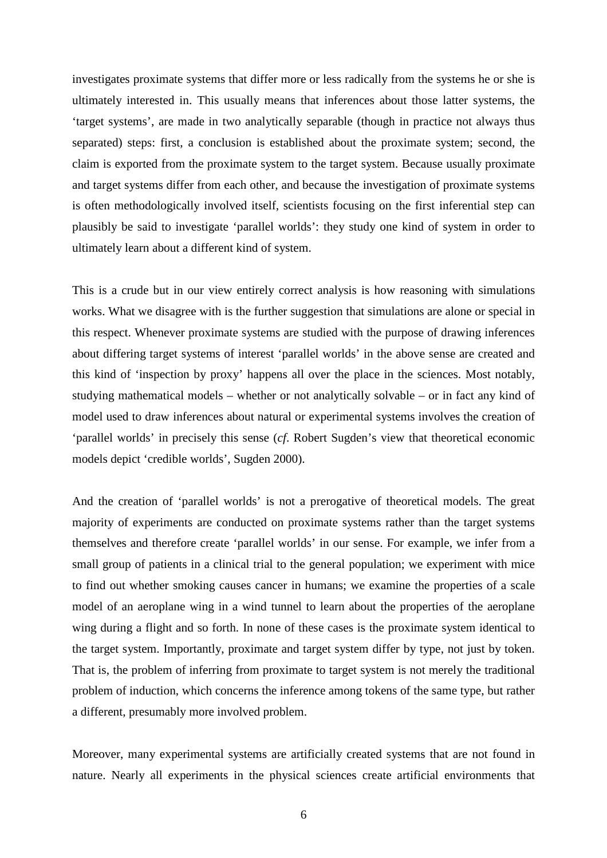investigates proximate systems that differ more or less radically from the systems he or she is ultimately interested in. This usually means that inferences about those latter systems, the 'target systems', are made in two analytically separable (though in practice not always thus separated) steps: first, a conclusion is established about the proximate system; second, the claim is exported from the proximate system to the target system. Because usually proximate and target systems differ from each other, and because the investigation of proximate systems is often methodologically involved itself, scientists focusing on the first inferential step can plausibly be said to investigate 'parallel worlds': they study one kind of system in order to ultimately learn about a different kind of system.

This is a crude but in our view entirely correct analysis is how reasoning with simulations works. What we disagree with is the further suggestion that simulations are alone or special in this respect. Whenever proximate systems are studied with the purpose of drawing inferences about differing target systems of interest 'parallel worlds' in the above sense are created and this kind of 'inspection by proxy' happens all over the place in the sciences. Most notably, studying mathematical models – whether or not analytically solvable – or in fact any kind of model used to draw inferences about natural or experimental systems involves the creation of 'parallel worlds' in precisely this sense (*cf*. Robert Sugden's view that theoretical economic models depict 'credible worlds', Sugden 2000).

And the creation of 'parallel worlds' is not a prerogative of theoretical models. The great majority of experiments are conducted on proximate systems rather than the target systems themselves and therefore create 'parallel worlds' in our sense. For example, we infer from a small group of patients in a clinical trial to the general population; we experiment with mice to find out whether smoking causes cancer in humans; we examine the properties of a scale model of an aeroplane wing in a wind tunnel to learn about the properties of the aeroplane wing during a flight and so forth. In none of these cases is the proximate system identical to the target system. Importantly, proximate and target system differ by type, not just by token. That is, the problem of inferring from proximate to target system is not merely the traditional problem of induction, which concerns the inference among tokens of the same type, but rather a different, presumably more involved problem.

Moreover, many experimental systems are artificially created systems that are not found in nature. Nearly all experiments in the physical sciences create artificial environments that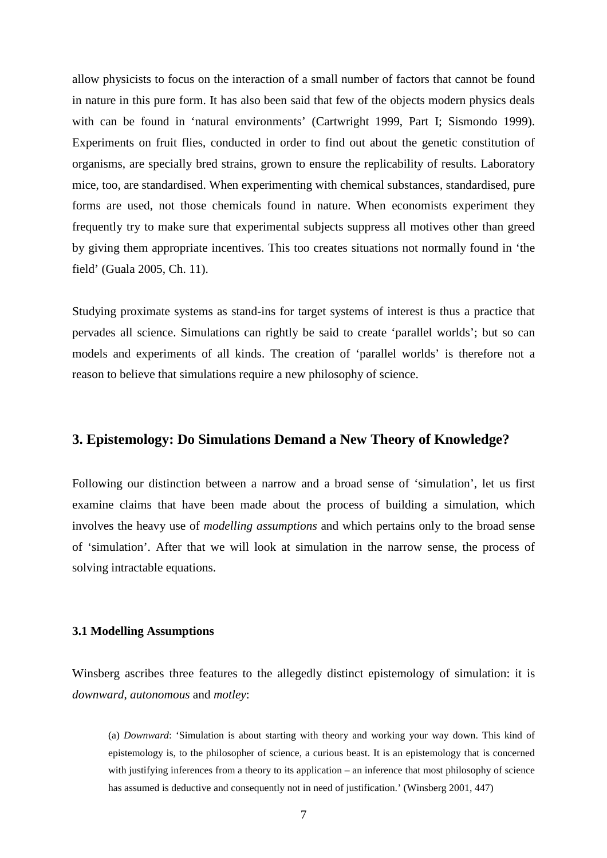allow physicists to focus on the interaction of a small number of factors that cannot be found in nature in this pure form. It has also been said that few of the objects modern physics deals with can be found in 'natural environments' (Cartwright 1999, Part I; Sismondo 1999). Experiments on fruit flies, conducted in order to find out about the genetic constitution of organisms, are specially bred strains, grown to ensure the replicability of results. Laboratory mice, too, are standardised. When experimenting with chemical substances, standardised, pure forms are used, not those chemicals found in nature. When economists experiment they frequently try to make sure that experimental subjects suppress all motives other than greed by giving them appropriate incentives. This too creates situations not normally found in 'the field' (Guala 2005, Ch. 11).

Studying proximate systems as stand-ins for target systems of interest is thus a practice that pervades all science. Simulations can rightly be said to create 'parallel worlds'; but so can models and experiments of all kinds. The creation of 'parallel worlds' is therefore not a reason to believe that simulations require a new philosophy of science.

#### **3. Epistemology: Do Simulations Demand a New Theory of Knowledge?**

Following our distinction between a narrow and a broad sense of 'simulation', let us first examine claims that have been made about the process of building a simulation, which involves the heavy use of *modelling assumptions* and which pertains only to the broad sense of 'simulation'. After that we will look at simulation in the narrow sense, the process of solving intractable equations.

#### **3.1 Modelling Assumptions**

Winsberg ascribes three features to the allegedly distinct epistemology of simulation: it is *downward*, *autonomous* and *motley*:

(a) *Downward*: 'Simulation is about starting with theory and working your way down. This kind of epistemology is, to the philosopher of science, a curious beast. It is an epistemology that is concerned with justifying inferences from a theory to its application – an inference that most philosophy of science has assumed is deductive and consequently not in need of justification.' (Winsberg 2001, 447)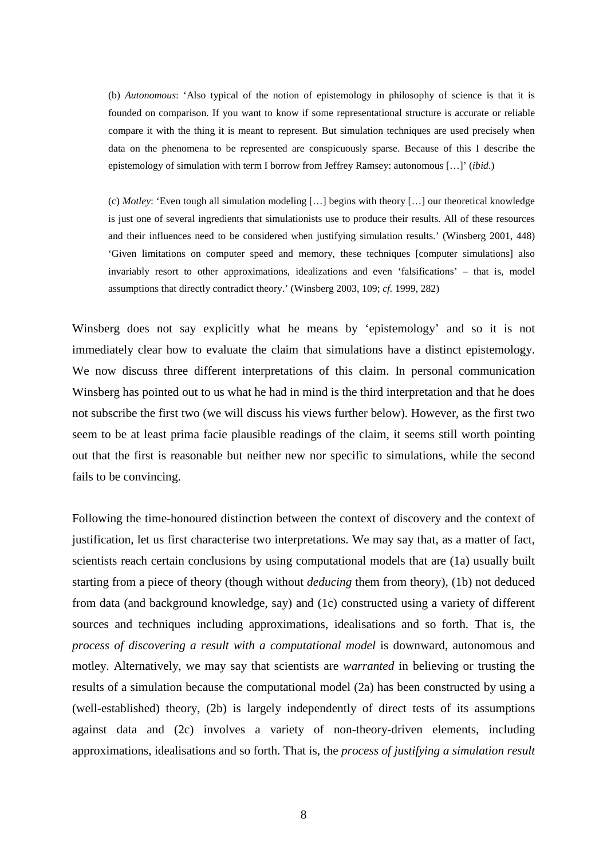(b) *Autonomous*: 'Also typical of the notion of epistemology in philosophy of science is that it is founded on comparison. If you want to know if some representational structure is accurate or reliable compare it with the thing it is meant to represent. But simulation techniques are used precisely when data on the phenomena to be represented are conspicuously sparse. Because of this I describe the epistemology of simulation with term I borrow from Jeffrey Ramsey: autonomous […]' (*ibid*.)

(c) *Motley*: 'Even tough all simulation modeling […] begins with theory […] our theoretical knowledge is just one of several ingredients that simulationists use to produce their results. All of these resources and their influences need to be considered when justifying simulation results.' (Winsberg 2001, 448) 'Given limitations on computer speed and memory, these techniques [computer simulations] also invariably resort to other approximations, idealizations and even 'falsifications' – that is, model assumptions that directly contradict theory.' (Winsberg 2003, 109; *cf.* 1999, 282)

Winsberg does not say explicitly what he means by 'epistemology' and so it is not immediately clear how to evaluate the claim that simulations have a distinct epistemology. We now discuss three different interpretations of this claim. In personal communication Winsberg has pointed out to us what he had in mind is the third interpretation and that he does not subscribe the first two (we will discuss his views further below). However, as the first two seem to be at least prima facie plausible readings of the claim, it seems still worth pointing out that the first is reasonable but neither new nor specific to simulations, while the second fails to be convincing.

Following the time-honoured distinction between the context of discovery and the context of justification, let us first characterise two interpretations. We may say that, as a matter of fact, scientists reach certain conclusions by using computational models that are (1a) usually built starting from a piece of theory (though without *deducing* them from theory), (1b) not deduced from data (and background knowledge, say) and (1c) constructed using a variety of different sources and techniques including approximations, idealisations and so forth. That is, the *process of discovering a result with a computational model* is downward, autonomous and motley. Alternatively, we may say that scientists are *warranted* in believing or trusting the results of a simulation because the computational model (2a) has been constructed by using a (well-established) theory, (2b) is largely independently of direct tests of its assumptions against data and (2c) involves a variety of non-theory-driven elements, including approximations, idealisations and so forth. That is, the *process of justifying a simulation result*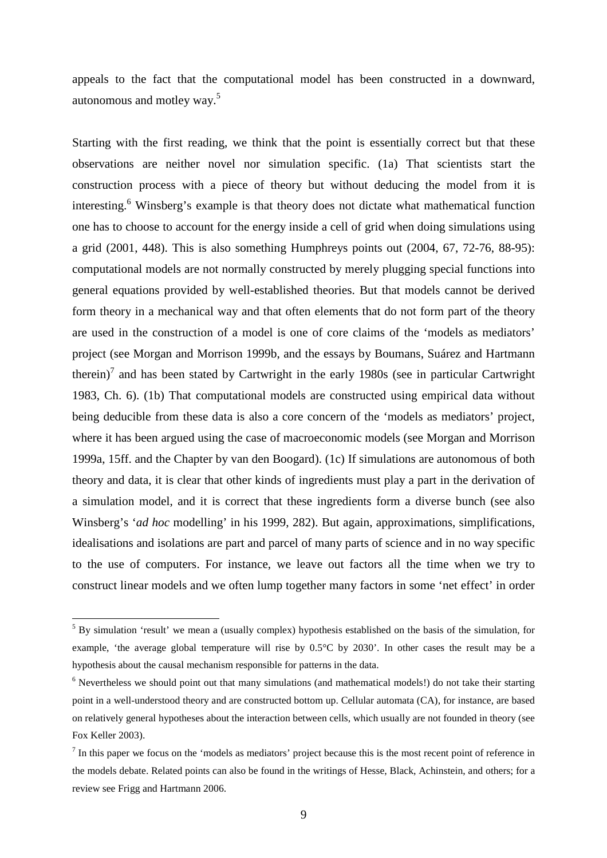appeals to the fact that the computational model has been constructed in a downward, autonomous and motley way.<sup>5</sup>

Starting with the first reading, we think that the point is essentially correct but that these observations are neither novel nor simulation specific. (1a) That scientists start the construction process with a piece of theory but without deducing the model from it is interesting.<sup>6</sup> Winsberg's example is that theory does not dictate what mathematical function one has to choose to account for the energy inside a cell of grid when doing simulations using a grid (2001, 448). This is also something Humphreys points out (2004, 67, 72-76, 88-95): computational models are not normally constructed by merely plugging special functions into general equations provided by well-established theories. But that models cannot be derived form theory in a mechanical way and that often elements that do not form part of the theory are used in the construction of a model is one of core claims of the 'models as mediators' project (see Morgan and Morrison 1999b, and the essays by Boumans, Suárez and Hartmann therein)<sup>7</sup> and has been stated by Cartwright in the early 1980s (see in particular Cartwright 1983, Ch. 6). (1b) That computational models are constructed using empirical data without being deducible from these data is also a core concern of the 'models as mediators' project, where it has been argued using the case of macroeconomic models (see Morgan and Morrison 1999a, 15ff. and the Chapter by van den Boogard). (1c) If simulations are autonomous of both theory and data, it is clear that other kinds of ingredients must play a part in the derivation of a simulation model, and it is correct that these ingredients form a diverse bunch (see also Winsberg's '*ad hoc* modelling' in his 1999, 282). But again, approximations, simplifications, idealisations and isolations are part and parcel of many parts of science and in no way specific to the use of computers. For instance, we leave out factors all the time when we try to construct linear models and we often lump together many factors in some 'net effect' in order

<sup>&</sup>lt;sup>5</sup> By simulation 'result' we mean a (usually complex) hypothesis established on the basis of the simulation, for example, 'the average global temperature will rise by 0.5°C by 2030'. In other cases the result may be a hypothesis about the causal mechanism responsible for patterns in the data.

<sup>&</sup>lt;sup>6</sup> Nevertheless we should point out that many simulations (and mathematical models!) do not take their starting point in a well-understood theory and are constructed bottom up. Cellular automata (CA), for instance, are based on relatively general hypotheses about the interaction between cells, which usually are not founded in theory (see Fox Keller 2003).

 $<sup>7</sup>$  In this paper we focus on the 'models as mediators' project because this is the most recent point of reference in</sup> the models debate. Related points can also be found in the writings of Hesse, Black, Achinstein, and others; for a review see Frigg and Hartmann 2006.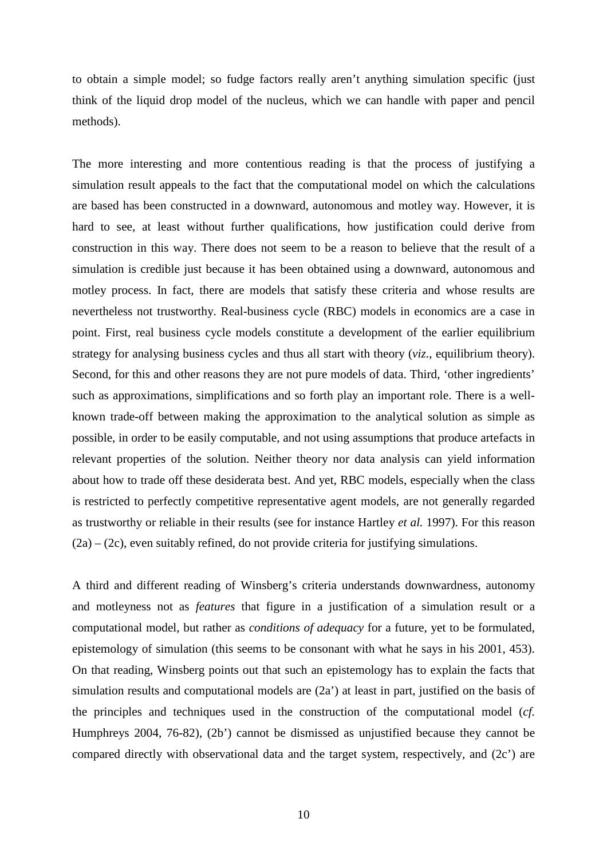to obtain a simple model; so fudge factors really aren't anything simulation specific (just think of the liquid drop model of the nucleus, which we can handle with paper and pencil methods).

The more interesting and more contentious reading is that the process of justifying a simulation result appeals to the fact that the computational model on which the calculations are based has been constructed in a downward, autonomous and motley way. However, it is hard to see, at least without further qualifications, how justification could derive from construction in this way. There does not seem to be a reason to believe that the result of a simulation is credible just because it has been obtained using a downward, autonomous and motley process. In fact, there are models that satisfy these criteria and whose results are nevertheless not trustworthy. Real-business cycle (RBC) models in economics are a case in point. First, real business cycle models constitute a development of the earlier equilibrium strategy for analysing business cycles and thus all start with theory (*viz*., equilibrium theory). Second, for this and other reasons they are not pure models of data. Third, 'other ingredients' such as approximations, simplifications and so forth play an important role. There is a wellknown trade-off between making the approximation to the analytical solution as simple as possible, in order to be easily computable, and not using assumptions that produce artefacts in relevant properties of the solution. Neither theory nor data analysis can yield information about how to trade off these desiderata best. And yet, RBC models, especially when the class is restricted to perfectly competitive representative agent models, are not generally regarded as trustworthy or reliable in their results (see for instance Hartley *et al.* 1997). For this reason  $(2a) - (2c)$ , even suitably refined, do not provide criteria for justifying simulations.

A third and different reading of Winsberg's criteria understands downwardness, autonomy and motleyness not as *features* that figure in a justification of a simulation result or a computational model, but rather as *conditions of adequacy* for a future, yet to be formulated, epistemology of simulation (this seems to be consonant with what he says in his 2001, 453). On that reading, Winsberg points out that such an epistemology has to explain the facts that simulation results and computational models are (2a') at least in part, justified on the basis of the principles and techniques used in the construction of the computational model (*cf.* Humphreys 2004, 76-82), (2b') cannot be dismissed as unjustified because they cannot be compared directly with observational data and the target system, respectively, and (2c') are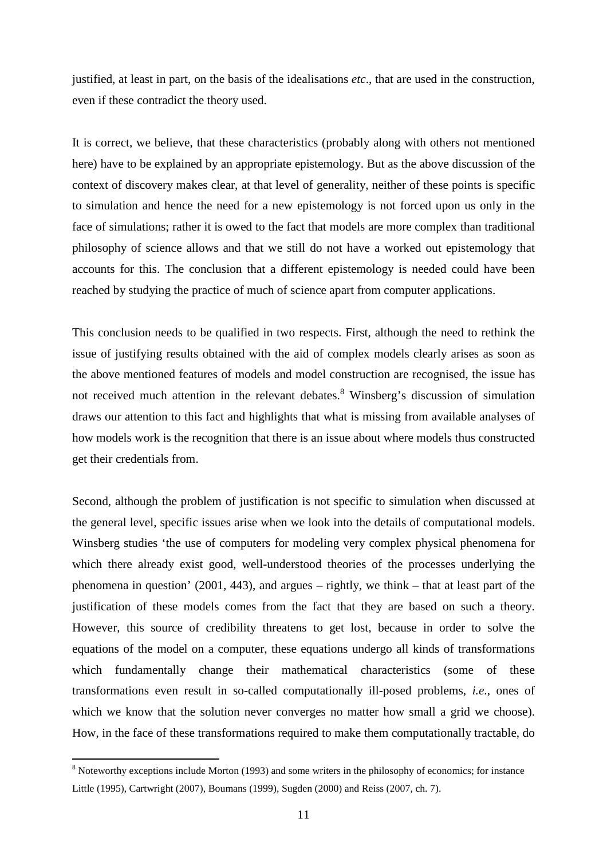justified, at least in part, on the basis of the idealisations *etc*., that are used in the construction, even if these contradict the theory used.

It is correct, we believe, that these characteristics (probably along with others not mentioned here) have to be explained by an appropriate epistemology. But as the above discussion of the context of discovery makes clear, at that level of generality, neither of these points is specific to simulation and hence the need for a new epistemology is not forced upon us only in the face of simulations; rather it is owed to the fact that models are more complex than traditional philosophy of science allows and that we still do not have a worked out epistemology that accounts for this. The conclusion that a different epistemology is needed could have been reached by studying the practice of much of science apart from computer applications.

This conclusion needs to be qualified in two respects. First, although the need to rethink the issue of justifying results obtained with the aid of complex models clearly arises as soon as the above mentioned features of models and model construction are recognised, the issue has not received much attention in the relevant debates. 8 Winsberg's discussion of simulation draws our attention to this fact and highlights that what is missing from available analyses of how models work is the recognition that there is an issue about where models thus constructed get their credentials from.

Second, although the problem of justification is not specific to simulation when discussed at the general level, specific issues arise when we look into the details of computational models. Winsberg studies 'the use of computers for modeling very complex physical phenomena for which there already exist good, well-understood theories of the processes underlying the phenomena in question' (2001, 443), and argues – rightly, we think – that at least part of the justification of these models comes from the fact that they are based on such a theory. However, this source of credibility threatens to get lost, because in order to solve the equations of the model on a computer, these equations undergo all kinds of transformations which fundamentally change their mathematical characteristics (some of these transformations even result in so-called computationally ill-posed problems, *i.e*., ones of which we know that the solution never converges no matter how small a grid we choose). How, in the face of these transformations required to make them computationally tractable, do

<sup>&</sup>lt;sup>8</sup> Noteworthy exceptions include Morton (1993) and some writers in the philosophy of economics; for instance Little (1995), Cartwright (2007), Boumans (1999), Sugden (2000) and Reiss (2007, ch. 7).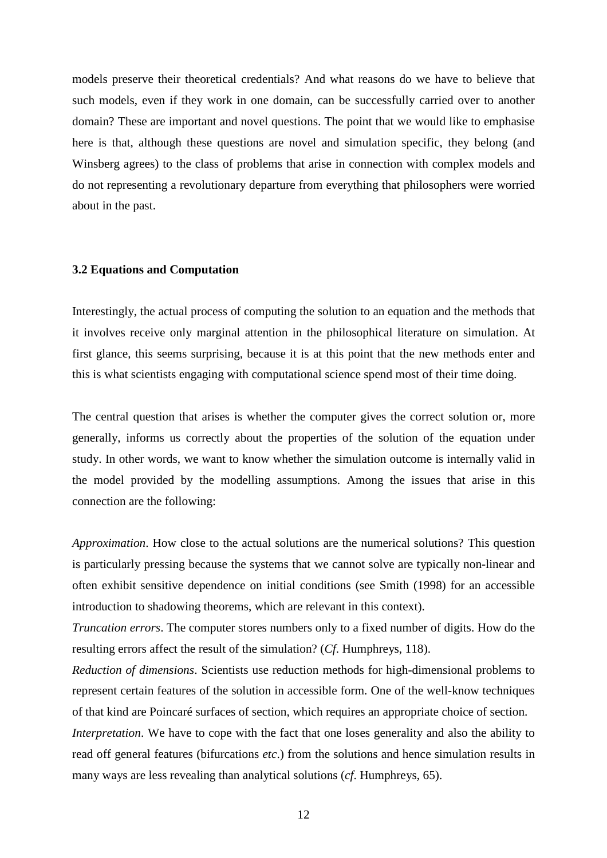models preserve their theoretical credentials? And what reasons do we have to believe that such models, even if they work in one domain, can be successfully carried over to another domain? These are important and novel questions. The point that we would like to emphasise here is that, although these questions are novel and simulation specific, they belong (and Winsberg agrees) to the class of problems that arise in connection with complex models and do not representing a revolutionary departure from everything that philosophers were worried about in the past.

#### **3.2 Equations and Computation**

Interestingly, the actual process of computing the solution to an equation and the methods that it involves receive only marginal attention in the philosophical literature on simulation. At first glance, this seems surprising, because it is at this point that the new methods enter and this is what scientists engaging with computational science spend most of their time doing.

The central question that arises is whether the computer gives the correct solution or, more generally, informs us correctly about the properties of the solution of the equation under study. In other words, we want to know whether the simulation outcome is internally valid in the model provided by the modelling assumptions. Among the issues that arise in this connection are the following:

*Approximation*. How close to the actual solutions are the numerical solutions? This question is particularly pressing because the systems that we cannot solve are typically non-linear and often exhibit sensitive dependence on initial conditions (see Smith (1998) for an accessible introduction to shadowing theorems, which are relevant in this context).

*Truncation errors*. The computer stores numbers only to a fixed number of digits. How do the resulting errors affect the result of the simulation? (*Cf*. Humphreys, 118).

*Reduction of dimensions*. Scientists use reduction methods for high-dimensional problems to represent certain features of the solution in accessible form. One of the well-know techniques of that kind are Poincaré surfaces of section, which requires an appropriate choice of section.

*Interpretation*. We have to cope with the fact that one loses generality and also the ability to read off general features (bifurcations *etc*.) from the solutions and hence simulation results in many ways are less revealing than analytical solutions (*cf*. Humphreys, 65).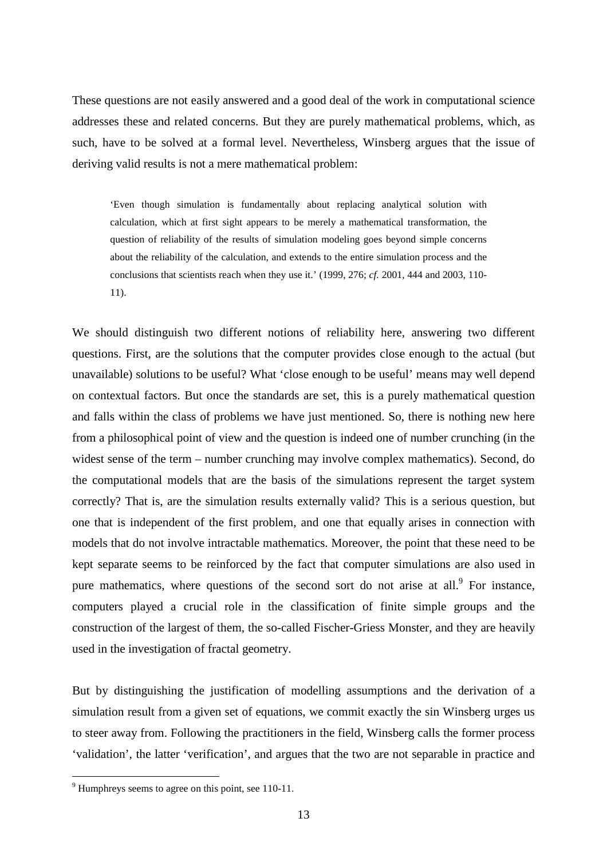These questions are not easily answered and a good deal of the work in computational science addresses these and related concerns. But they are purely mathematical problems, which, as such, have to be solved at a formal level. Nevertheless, Winsberg argues that the issue of deriving valid results is not a mere mathematical problem:

'Even though simulation is fundamentally about replacing analytical solution with calculation, which at first sight appears to be merely a mathematical transformation, the question of reliability of the results of simulation modeling goes beyond simple concerns about the reliability of the calculation, and extends to the entire simulation process and the conclusions that scientists reach when they use it.' (1999, 276; *cf.* 2001, 444 and 2003, 110- 11).

We should distinguish two different notions of reliability here, answering two different questions. First, are the solutions that the computer provides close enough to the actual (but unavailable) solutions to be useful? What 'close enough to be useful' means may well depend on contextual factors. But once the standards are set, this is a purely mathematical question and falls within the class of problems we have just mentioned. So, there is nothing new here from a philosophical point of view and the question is indeed one of number crunching (in the widest sense of the term – number crunching may involve complex mathematics). Second, do the computational models that are the basis of the simulations represent the target system correctly? That is, are the simulation results externally valid? This is a serious question, but one that is independent of the first problem, and one that equally arises in connection with models that do not involve intractable mathematics. Moreover, the point that these need to be kept separate seems to be reinforced by the fact that computer simulations are also used in pure mathematics, where questions of the second sort do not arise at all.<sup>9</sup> For instance, computers played a crucial role in the classification of finite simple groups and the construction of the largest of them, the so-called Fischer-Griess Monster, and they are heavily used in the investigation of fractal geometry.

But by distinguishing the justification of modelling assumptions and the derivation of a simulation result from a given set of equations, we commit exactly the sin Winsberg urges us to steer away from. Following the practitioners in the field, Winsberg calls the former process 'validation', the latter 'verification', and argues that the two are not separable in practice and

<sup>&</sup>lt;sup>9</sup> Humphreys seems to agree on this point, see 110-11.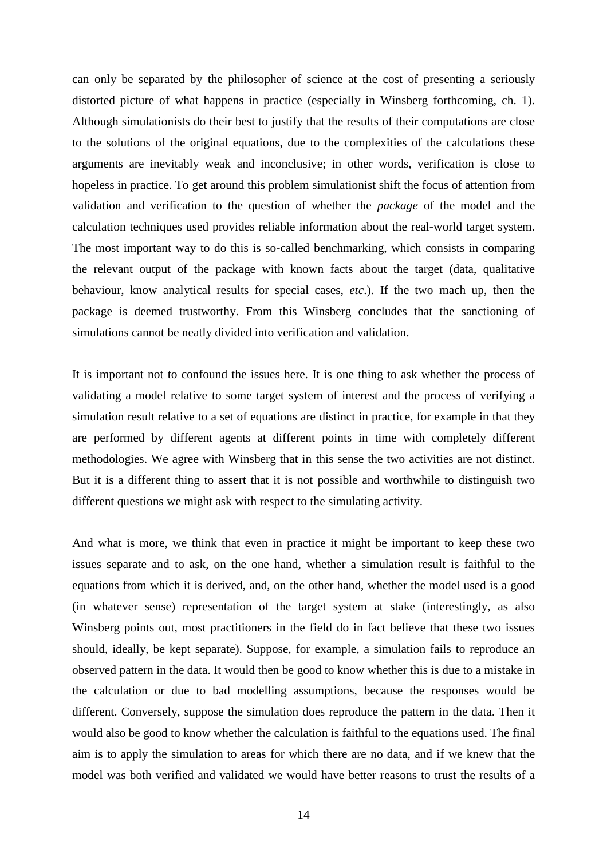can only be separated by the philosopher of science at the cost of presenting a seriously distorted picture of what happens in practice (especially in Winsberg forthcoming, ch. 1). Although simulationists do their best to justify that the results of their computations are close to the solutions of the original equations, due to the complexities of the calculations these arguments are inevitably weak and inconclusive; in other words, verification is close to hopeless in practice. To get around this problem simulationist shift the focus of attention from validation and verification to the question of whether the *package* of the model and the calculation techniques used provides reliable information about the real-world target system. The most important way to do this is so-called benchmarking, which consists in comparing the relevant output of the package with known facts about the target (data, qualitative behaviour, know analytical results for special cases, *etc*.). If the two mach up, then the package is deemed trustworthy. From this Winsberg concludes that the sanctioning of simulations cannot be neatly divided into verification and validation.

It is important not to confound the issues here. It is one thing to ask whether the process of validating a model relative to some target system of interest and the process of verifying a simulation result relative to a set of equations are distinct in practice, for example in that they are performed by different agents at different points in time with completely different methodologies. We agree with Winsberg that in this sense the two activities are not distinct. But it is a different thing to assert that it is not possible and worthwhile to distinguish two different questions we might ask with respect to the simulating activity.

And what is more, we think that even in practice it might be important to keep these two issues separate and to ask, on the one hand, whether a simulation result is faithful to the equations from which it is derived, and, on the other hand, whether the model used is a good (in whatever sense) representation of the target system at stake (interestingly, as also Winsberg points out, most practitioners in the field do in fact believe that these two issues should, ideally, be kept separate). Suppose, for example, a simulation fails to reproduce an observed pattern in the data. It would then be good to know whether this is due to a mistake in the calculation or due to bad modelling assumptions, because the responses would be different. Conversely, suppose the simulation does reproduce the pattern in the data. Then it would also be good to know whether the calculation is faithful to the equations used. The final aim is to apply the simulation to areas for which there are no data, and if we knew that the model was both verified and validated we would have better reasons to trust the results of a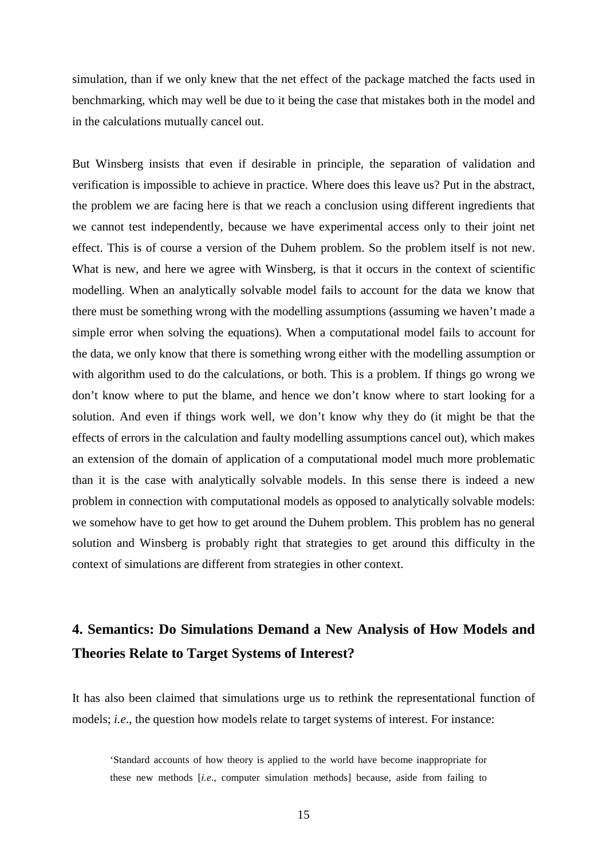simulation, than if we only knew that the net effect of the package matched the facts used in benchmarking, which may well be due to it being the case that mistakes both in the model and in the calculations mutually cancel out.

But Winsberg insists that even if desirable in principle, the separation of validation and verification is impossible to achieve in practice. Where does this leave us? Put in the abstract, the problem we are facing here is that we reach a conclusion using different ingredients that we cannot test independently, because we have experimental access only to their joint net effect. This is of course a version of the Duhem problem. So the problem itself is not new. What is new, and here we agree with Winsberg, is that it occurs in the context of scientific modelling. When an analytically solvable model fails to account for the data we know that there must be something wrong with the modelling assumptions (assuming we haven't made a simple error when solving the equations). When a computational model fails to account for the data, we only know that there is something wrong either with the modelling assumption or with algorithm used to do the calculations, or both. This is a problem. If things go wrong we don't know where to put the blame, and hence we don't know where to start looking for a solution. And even if things work well, we don't know why they do (it might be that the effects of errors in the calculation and faulty modelling assumptions cancel out), which makes an extension of the domain of application of a computational model much more problematic than it is the case with analytically solvable models. In this sense there is indeed a new problem in connection with computational models as opposed to analytically solvable models: we somehow have to get how to get around the Duhem problem. This problem has no general solution and Winsberg is probably right that strategies to get around this difficulty in the context of simulations are different from strategies in other context.

# **4. Semantics: Do Simulations Demand a New Analysis of How Models and Theories Relate to Target Systems of Interest?**

It has also been claimed that simulations urge us to rethink the representational function of models; *i.e.*, the question how models relate to target systems of interest. For instance:

'Standard accounts of how theory is applied to the world have become inappropriate for these new methods [*i.e*., computer simulation methods] because, aside from failing to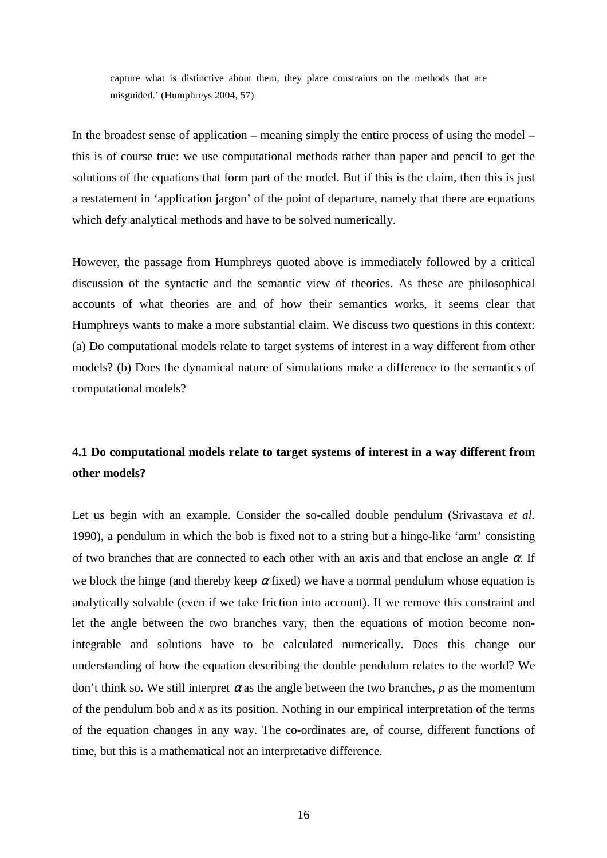capture what is distinctive about them, they place constraints on the methods that are misguided.' (Humphreys 2004, 57)

In the broadest sense of application – meaning simply the entire process of using the model – this is of course true: we use computational methods rather than paper and pencil to get the solutions of the equations that form part of the model. But if this is the claim, then this is just a restatement in 'application jargon' of the point of departure, namely that there are equations which defy analytical methods and have to be solved numerically.

However, the passage from Humphreys quoted above is immediately followed by a critical discussion of the syntactic and the semantic view of theories. As these are philosophical accounts of what theories are and of how their semantics works, it seems clear that Humphreys wants to make a more substantial claim. We discuss two questions in this context: (a) Do computational models relate to target systems of interest in a way different from other models? (b) Does the dynamical nature of simulations make a difference to the semantics of computational models?

## **4.1 Do computational models relate to target systems of interest in a way different from other models?**

Let us begin with an example. Consider the so-called double pendulum (Srivastava *et al.* 1990), a pendulum in which the bob is fixed not to a string but a hinge-like 'arm' consisting of two branches that are connected to each other with an axis and that enclose an angle  $\alpha$ . If we block the hinge (and thereby keep  $\alpha$  fixed) we have a normal pendulum whose equation is analytically solvable (even if we take friction into account). If we remove this constraint and let the angle between the two branches vary, then the equations of motion become nonintegrable and solutions have to be calculated numerically. Does this change our understanding of how the equation describing the double pendulum relates to the world? We don't think so. We still interpret  $\alpha$  as the angle between the two branches,  $p$  as the momentum of the pendulum bob and *x* as its position. Nothing in our empirical interpretation of the terms of the equation changes in any way. The co-ordinates are, of course, different functions of time, but this is a mathematical not an interpretative difference.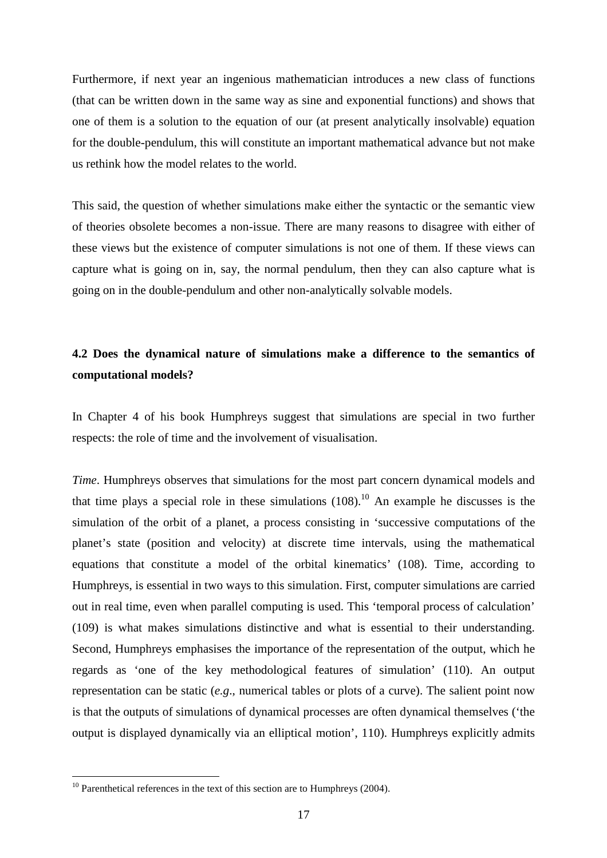Furthermore, if next year an ingenious mathematician introduces a new class of functions (that can be written down in the same way as sine and exponential functions) and shows that one of them is a solution to the equation of our (at present analytically insolvable) equation for the double-pendulum, this will constitute an important mathematical advance but not make us rethink how the model relates to the world.

This said, the question of whether simulations make either the syntactic or the semantic view of theories obsolete becomes a non-issue. There are many reasons to disagree with either of these views but the existence of computer simulations is not one of them. If these views can capture what is going on in, say, the normal pendulum, then they can also capture what is going on in the double-pendulum and other non-analytically solvable models.

## **4.2 Does the dynamical nature of simulations make a difference to the semantics of computational models?**

In Chapter 4 of his book Humphreys suggest that simulations are special in two further respects: the role of time and the involvement of visualisation.

*Time*. Humphreys observes that simulations for the most part concern dynamical models and that time plays a special role in these simulations  $(108)$ .<sup>10</sup> An example he discusses is the simulation of the orbit of a planet, a process consisting in 'successive computations of the planet's state (position and velocity) at discrete time intervals, using the mathematical equations that constitute a model of the orbital kinematics' (108). Time, according to Humphreys, is essential in two ways to this simulation. First, computer simulations are carried out in real time, even when parallel computing is used. This 'temporal process of calculation' (109) is what makes simulations distinctive and what is essential to their understanding. Second, Humphreys emphasises the importance of the representation of the output, which he regards as 'one of the key methodological features of simulation' (110). An output representation can be static (*e.g*., numerical tables or plots of a curve). The salient point now is that the outputs of simulations of dynamical processes are often dynamical themselves ('the output is displayed dynamically via an elliptical motion', 110). Humphreys explicitly admits

 $10$  Parenthetical references in the text of this section are to Humphreys (2004).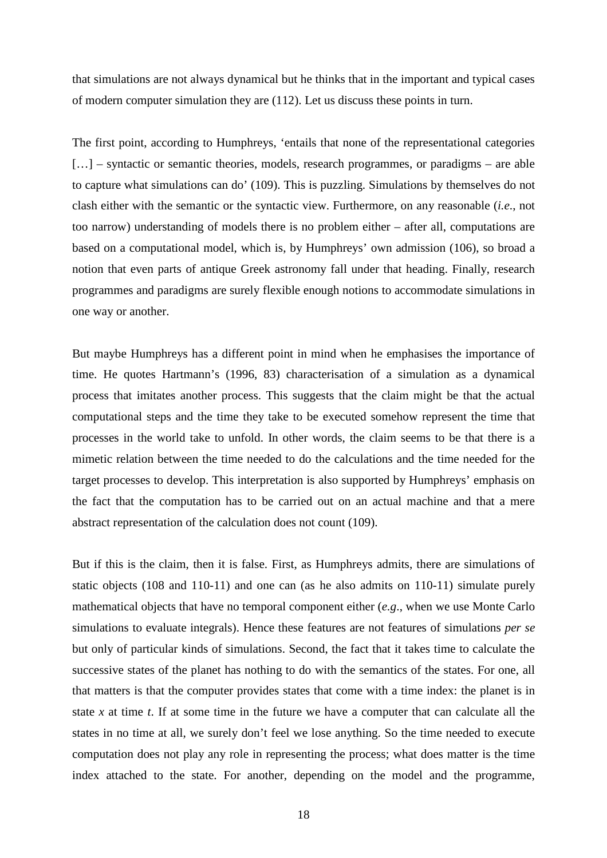that simulations are not always dynamical but he thinks that in the important and typical cases of modern computer simulation they are (112). Let us discuss these points in turn.

The first point, according to Humphreys, 'entails that none of the representational categories [...] – syntactic or semantic theories, models, research programmes, or paradigms – are able to capture what simulations can do' (109). This is puzzling. Simulations by themselves do not clash either with the semantic or the syntactic view. Furthermore, on any reasonable (*i.e*., not too narrow) understanding of models there is no problem either – after all, computations are based on a computational model, which is, by Humphreys' own admission (106), so broad a notion that even parts of antique Greek astronomy fall under that heading. Finally, research programmes and paradigms are surely flexible enough notions to accommodate simulations in one way or another.

But maybe Humphreys has a different point in mind when he emphasises the importance of time. He quotes Hartmann's (1996, 83) characterisation of a simulation as a dynamical process that imitates another process. This suggests that the claim might be that the actual computational steps and the time they take to be executed somehow represent the time that processes in the world take to unfold. In other words, the claim seems to be that there is a mimetic relation between the time needed to do the calculations and the time needed for the target processes to develop. This interpretation is also supported by Humphreys' emphasis on the fact that the computation has to be carried out on an actual machine and that a mere abstract representation of the calculation does not count (109).

But if this is the claim, then it is false. First, as Humphreys admits, there are simulations of static objects (108 and 110-11) and one can (as he also admits on 110-11) simulate purely mathematical objects that have no temporal component either (*e.g*., when we use Monte Carlo simulations to evaluate integrals). Hence these features are not features of simulations *per se* but only of particular kinds of simulations. Second, the fact that it takes time to calculate the successive states of the planet has nothing to do with the semantics of the states. For one, all that matters is that the computer provides states that come with a time index: the planet is in state *x* at time *t*. If at some time in the future we have a computer that can calculate all the states in no time at all, we surely don't feel we lose anything. So the time needed to execute computation does not play any role in representing the process; what does matter is the time index attached to the state. For another, depending on the model and the programme,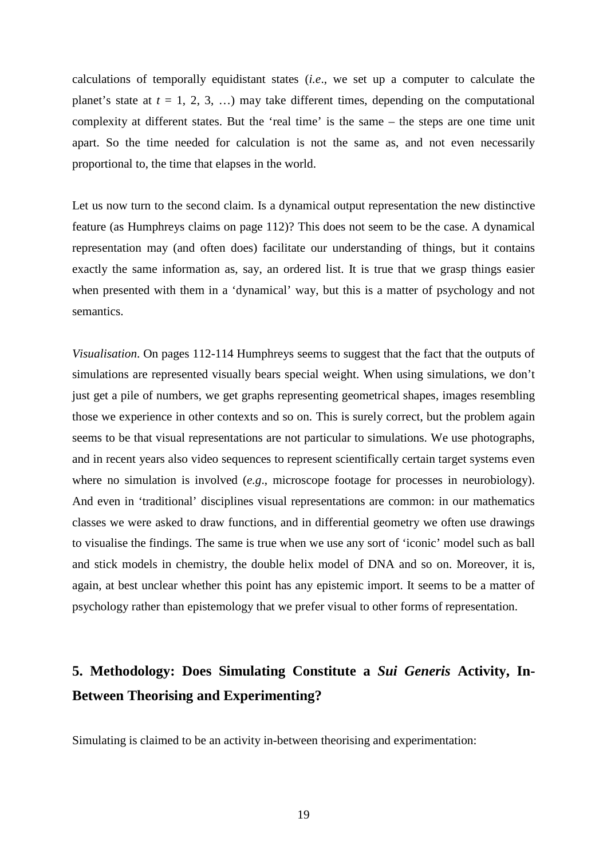calculations of temporally equidistant states (*i.e*., we set up a computer to calculate the planet's state at  $t = 1, 2, 3, ...$  may take different times, depending on the computational complexity at different states. But the 'real time' is the same – the steps are one time unit apart. So the time needed for calculation is not the same as, and not even necessarily proportional to, the time that elapses in the world.

Let us now turn to the second claim. Is a dynamical output representation the new distinctive feature (as Humphreys claims on page 112)? This does not seem to be the case. A dynamical representation may (and often does) facilitate our understanding of things, but it contains exactly the same information as, say, an ordered list. It is true that we grasp things easier when presented with them in a 'dynamical' way, but this is a matter of psychology and not semantics.

*Visualisation*. On pages 112-114 Humphreys seems to suggest that the fact that the outputs of simulations are represented visually bears special weight. When using simulations, we don't just get a pile of numbers, we get graphs representing geometrical shapes, images resembling those we experience in other contexts and so on. This is surely correct, but the problem again seems to be that visual representations are not particular to simulations. We use photographs, and in recent years also video sequences to represent scientifically certain target systems even where no simulation is involved (*e.g*., microscope footage for processes in neurobiology). And even in 'traditional' disciplines visual representations are common: in our mathematics classes we were asked to draw functions, and in differential geometry we often use drawings to visualise the findings. The same is true when we use any sort of 'iconic' model such as ball and stick models in chemistry, the double helix model of DNA and so on. Moreover, it is, again, at best unclear whether this point has any epistemic import. It seems to be a matter of psychology rather than epistemology that we prefer visual to other forms of representation.

# **5. Methodology: Does Simulating Constitute a** *Sui Generis* **Activity, In-Between Theorising and Experimenting?**

Simulating is claimed to be an activity in-between theorising and experimentation: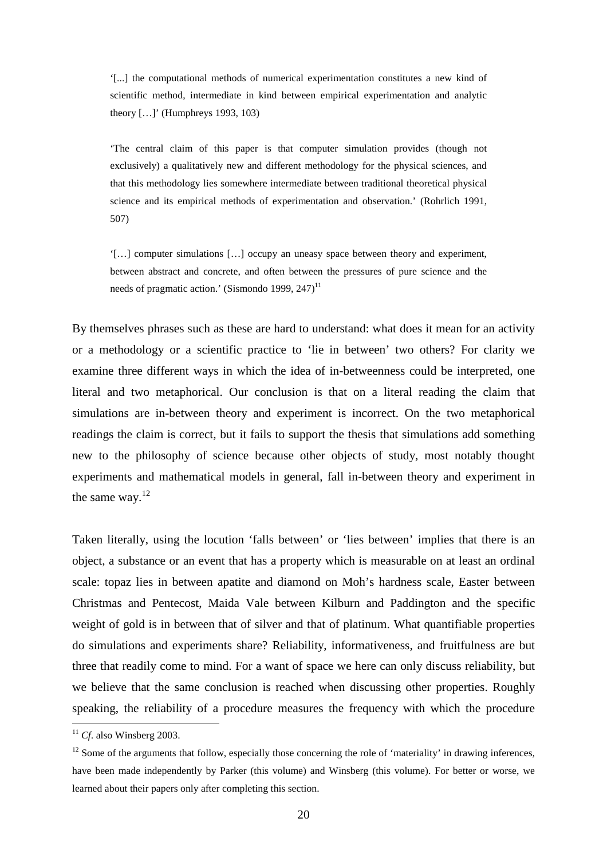'[...] the computational methods of numerical experimentation constitutes a new kind of scientific method, intermediate in kind between empirical experimentation and analytic theory […]' (Humphreys 1993, 103)

'The central claim of this paper is that computer simulation provides (though not exclusively) a qualitatively new and different methodology for the physical sciences, and that this methodology lies somewhere intermediate between traditional theoretical physical science and its empirical methods of experimentation and observation.' (Rohrlich 1991, 507)

'[…] computer simulations […] occupy an uneasy space between theory and experiment, between abstract and concrete, and often between the pressures of pure science and the needs of pragmatic action.' (Sismondo 1999, 247)<sup>11</sup>

By themselves phrases such as these are hard to understand: what does it mean for an activity or a methodology or a scientific practice to 'lie in between' two others? For clarity we examine three different ways in which the idea of in-betweenness could be interpreted, one literal and two metaphorical. Our conclusion is that on a literal reading the claim that simulations are in-between theory and experiment is incorrect. On the two metaphorical readings the claim is correct, but it fails to support the thesis that simulations add something new to the philosophy of science because other objects of study, most notably thought experiments and mathematical models in general, fall in-between theory and experiment in the same way. $^{12}$ 

Taken literally, using the locution 'falls between' or 'lies between' implies that there is an object, a substance or an event that has a property which is measurable on at least an ordinal scale: topaz lies in between apatite and diamond on Moh's hardness scale, Easter between Christmas and Pentecost, Maida Vale between Kilburn and Paddington and the specific weight of gold is in between that of silver and that of platinum. What quantifiable properties do simulations and experiments share? Reliability, informativeness, and fruitfulness are but three that readily come to mind. For a want of space we here can only discuss reliability, but we believe that the same conclusion is reached when discussing other properties. Roughly speaking, the reliability of a procedure measures the frequency with which the procedure

<sup>&</sup>lt;sup>11</sup> *Cf.* also Winsberg 2003.

 $12$  Some of the arguments that follow, especially those concerning the role of 'materiality' in drawing inferences, have been made independently by Parker (this volume) and Winsberg (this volume). For better or worse, we learned about their papers only after completing this section.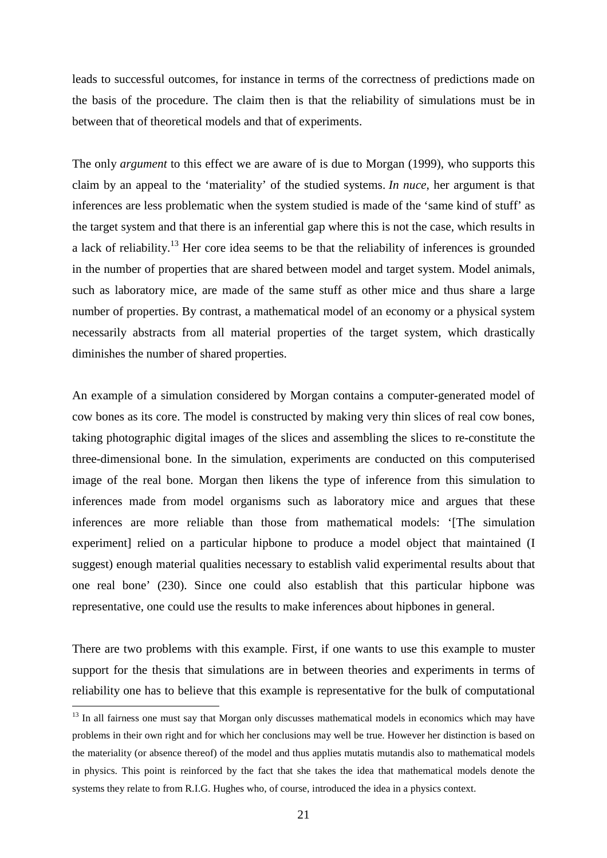leads to successful outcomes, for instance in terms of the correctness of predictions made on the basis of the procedure. The claim then is that the reliability of simulations must be in between that of theoretical models and that of experiments.

The only *argument* to this effect we are aware of is due to Morgan (1999), who supports this claim by an appeal to the 'materiality' of the studied systems. *In nuce*, her argument is that inferences are less problematic when the system studied is made of the 'same kind of stuff' as the target system and that there is an inferential gap where this is not the case, which results in a lack of reliability.<sup>13</sup> Her core idea seems to be that the reliability of inferences is grounded in the number of properties that are shared between model and target system. Model animals, such as laboratory mice, are made of the same stuff as other mice and thus share a large number of properties. By contrast, a mathematical model of an economy or a physical system necessarily abstracts from all material properties of the target system, which drastically diminishes the number of shared properties.

An example of a simulation considered by Morgan contains a computer-generated model of cow bones as its core. The model is constructed by making very thin slices of real cow bones, taking photographic digital images of the slices and assembling the slices to re-constitute the three-dimensional bone. In the simulation, experiments are conducted on this computerised image of the real bone. Morgan then likens the type of inference from this simulation to inferences made from model organisms such as laboratory mice and argues that these inferences are more reliable than those from mathematical models: '[The simulation experiment] relied on a particular hipbone to produce a model object that maintained (I suggest) enough material qualities necessary to establish valid experimental results about that one real bone' (230). Since one could also establish that this particular hipbone was representative, one could use the results to make inferences about hipbones in general.

There are two problems with this example. First, if one wants to use this example to muster support for the thesis that simulations are in between theories and experiments in terms of reliability one has to believe that this example is representative for the bulk of computational

 $13$  In all fairness one must say that Morgan only discusses mathematical models in economics which may have problems in their own right and for which her conclusions may well be true. However her distinction is based on the materiality (or absence thereof) of the model and thus applies mutatis mutandis also to mathematical models in physics. This point is reinforced by the fact that she takes the idea that mathematical models denote the systems they relate to from R.I.G. Hughes who, of course, introduced the idea in a physics context.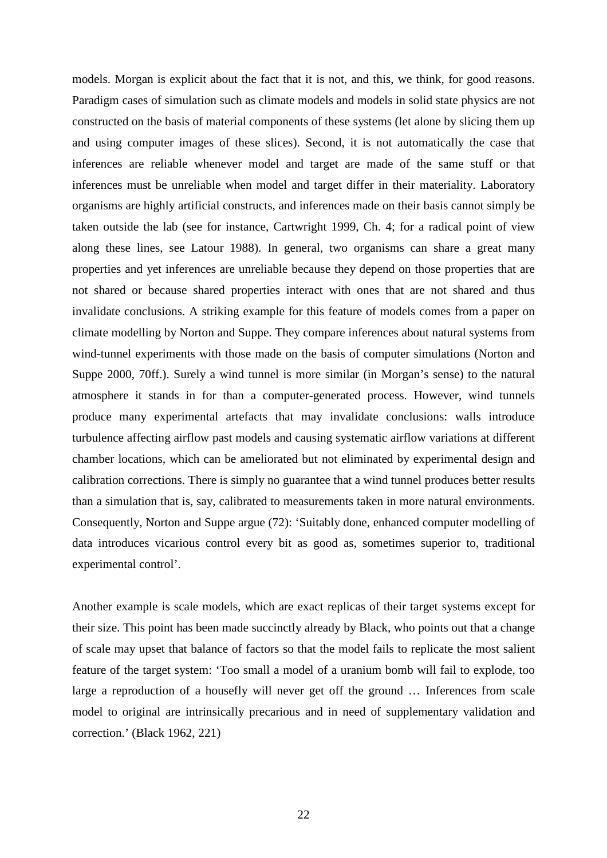models. Morgan is explicit about the fact that it is not, and this, we think, for good reasons. Paradigm cases of simulation such as climate models and models in solid state physics are not constructed on the basis of material components of these systems (let alone by slicing them up and using computer images of these slices). Second, it is not automatically the case that inferences are reliable whenever model and target are made of the same stuff or that inferences must be unreliable when model and target differ in their materiality. Laboratory organisms are highly artificial constructs, and inferences made on their basis cannot simply be taken outside the lab (see for instance, Cartwright 1999, Ch. 4; for a radical point of view along these lines, see Latour 1988). In general, two organisms can share a great many properties and yet inferences are unreliable because they depend on those properties that are not shared or because shared properties interact with ones that are not shared and thus invalidate conclusions. A striking example for this feature of models comes from a paper on climate modelling by Norton and Suppe. They compare inferences about natural systems from wind-tunnel experiments with those made on the basis of computer simulations (Norton and Suppe 2000, 70ff.). Surely a wind tunnel is more similar (in Morgan's sense) to the natural atmosphere it stands in for than a computer-generated process. However, wind tunnels produce many experimental artefacts that may invalidate conclusions: walls introduce turbulence affecting airflow past models and causing systematic airflow variations at different chamber locations, which can be ameliorated but not eliminated by experimental design and calibration corrections. There is simply no guarantee that a wind tunnel produces better results than a simulation that is, say, calibrated to measurements taken in more natural environments. Consequently, Norton and Suppe argue (72): 'Suitably done, enhanced computer modelling of data introduces vicarious control every bit as good as, sometimes superior to, traditional experimental control'.

Another example is scale models, which are exact replicas of their target systems except for their size. This point has been made succinctly already by Black, who points out that a change of scale may upset that balance of factors so that the model fails to replicate the most salient feature of the target system: 'Too small a model of a uranium bomb will fail to explode, too large a reproduction of a housefly will never get off the ground … Inferences from scale model to original are intrinsically precarious and in need of supplementary validation and correction.' (Black 1962, 221)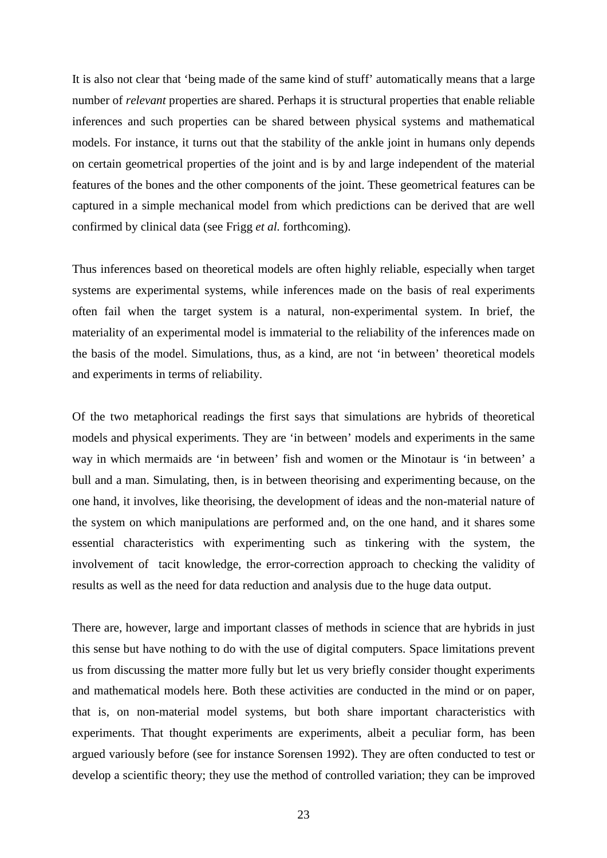It is also not clear that 'being made of the same kind of stuff' automatically means that a large number of *relevant* properties are shared. Perhaps it is structural properties that enable reliable inferences and such properties can be shared between physical systems and mathematical models. For instance, it turns out that the stability of the ankle joint in humans only depends on certain geometrical properties of the joint and is by and large independent of the material features of the bones and the other components of the joint. These geometrical features can be captured in a simple mechanical model from which predictions can be derived that are well confirmed by clinical data (see Frigg *et al.* forthcoming).

Thus inferences based on theoretical models are often highly reliable, especially when target systems are experimental systems, while inferences made on the basis of real experiments often fail when the target system is a natural, non-experimental system. In brief, the materiality of an experimental model is immaterial to the reliability of the inferences made on the basis of the model. Simulations, thus, as a kind, are not 'in between' theoretical models and experiments in terms of reliability.

Of the two metaphorical readings the first says that simulations are hybrids of theoretical models and physical experiments. They are 'in between' models and experiments in the same way in which mermaids are 'in between' fish and women or the Minotaur is 'in between' a bull and a man. Simulating, then, is in between theorising and experimenting because, on the one hand, it involves, like theorising, the development of ideas and the non-material nature of the system on which manipulations are performed and, on the one hand, and it shares some essential characteristics with experimenting such as tinkering with the system, the involvement of tacit knowledge, the error-correction approach to checking the validity of results as well as the need for data reduction and analysis due to the huge data output.

There are, however, large and important classes of methods in science that are hybrids in just this sense but have nothing to do with the use of digital computers. Space limitations prevent us from discussing the matter more fully but let us very briefly consider thought experiments and mathematical models here. Both these activities are conducted in the mind or on paper, that is, on non-material model systems, but both share important characteristics with experiments. That thought experiments are experiments, albeit a peculiar form, has been argued variously before (see for instance Sorensen 1992). They are often conducted to test or develop a scientific theory; they use the method of controlled variation; they can be improved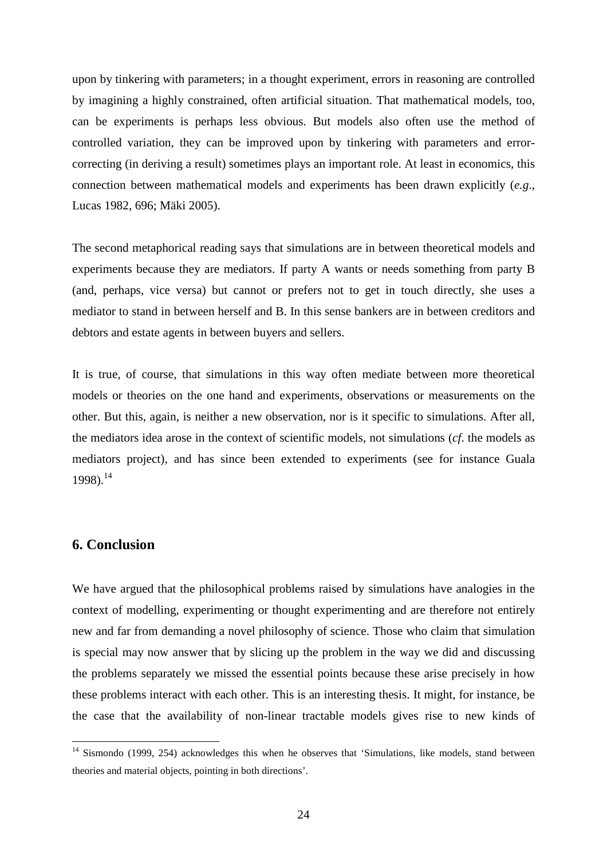upon by tinkering with parameters; in a thought experiment, errors in reasoning are controlled by imagining a highly constrained, often artificial situation. That mathematical models, too, can be experiments is perhaps less obvious. But models also often use the method of controlled variation, they can be improved upon by tinkering with parameters and errorcorrecting (in deriving a result) sometimes plays an important role. At least in economics, this connection between mathematical models and experiments has been drawn explicitly (*e.g*., Lucas 1982, 696; Mäki 2005).

The second metaphorical reading says that simulations are in between theoretical models and experiments because they are mediators. If party A wants or needs something from party B (and, perhaps, vice versa) but cannot or prefers not to get in touch directly, she uses a mediator to stand in between herself and B. In this sense bankers are in between creditors and debtors and estate agents in between buyers and sellers.

It is true, of course, that simulations in this way often mediate between more theoretical models or theories on the one hand and experiments, observations or measurements on the other. But this, again, is neither a new observation, nor is it specific to simulations. After all, the mediators idea arose in the context of scientific models, not simulations (*cf*. the models as mediators project), and has since been extended to experiments (see for instance Guala 1998).<sup>14</sup>

### **6. Conclusion**

 $\overline{a}$ 

We have argued that the philosophical problems raised by simulations have analogies in the context of modelling, experimenting or thought experimenting and are therefore not entirely new and far from demanding a novel philosophy of science. Those who claim that simulation is special may now answer that by slicing up the problem in the way we did and discussing the problems separately we missed the essential points because these arise precisely in how these problems interact with each other. This is an interesting thesis. It might, for instance, be the case that the availability of non-linear tractable models gives rise to new kinds of

<sup>&</sup>lt;sup>14</sup> Sismondo (1999, 254) acknowledges this when he observes that 'Simulations, like models, stand between theories and material objects, pointing in both directions'.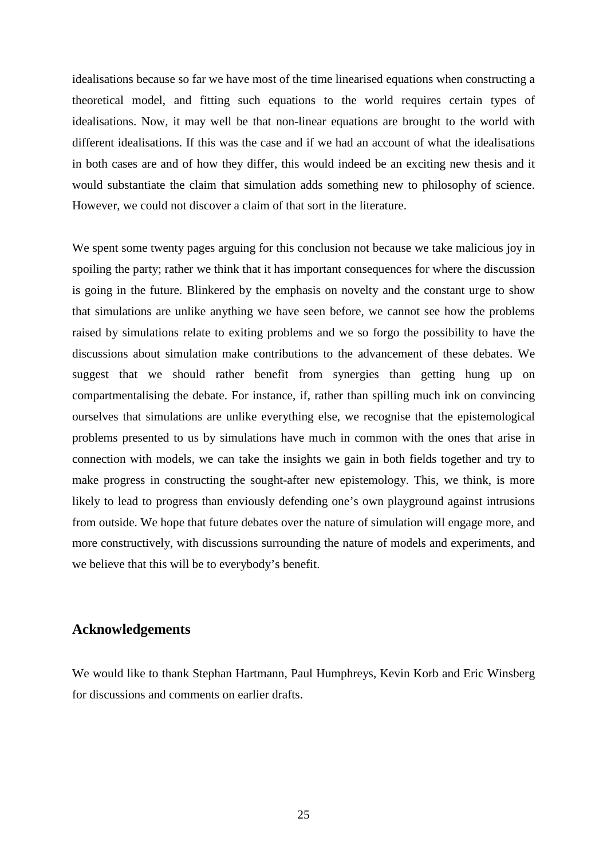idealisations because so far we have most of the time linearised equations when constructing a theoretical model, and fitting such equations to the world requires certain types of idealisations. Now, it may well be that non-linear equations are brought to the world with different idealisations. If this was the case and if we had an account of what the idealisations in both cases are and of how they differ, this would indeed be an exciting new thesis and it would substantiate the claim that simulation adds something new to philosophy of science. However, we could not discover a claim of that sort in the literature.

We spent some twenty pages arguing for this conclusion not because we take malicious joy in spoiling the party; rather we think that it has important consequences for where the discussion is going in the future. Blinkered by the emphasis on novelty and the constant urge to show that simulations are unlike anything we have seen before, we cannot see how the problems raised by simulations relate to exiting problems and we so forgo the possibility to have the discussions about simulation make contributions to the advancement of these debates. We suggest that we should rather benefit from synergies than getting hung up on compartmentalising the debate. For instance, if, rather than spilling much ink on convincing ourselves that simulations are unlike everything else, we recognise that the epistemological problems presented to us by simulations have much in common with the ones that arise in connection with models, we can take the insights we gain in both fields together and try to make progress in constructing the sought-after new epistemology. This, we think, is more likely to lead to progress than enviously defending one's own playground against intrusions from outside. We hope that future debates over the nature of simulation will engage more, and more constructively, with discussions surrounding the nature of models and experiments, and we believe that this will be to everybody's benefit.

### **Acknowledgements**

We would like to thank Stephan Hartmann, Paul Humphreys, Kevin Korb and Eric Winsberg for discussions and comments on earlier drafts.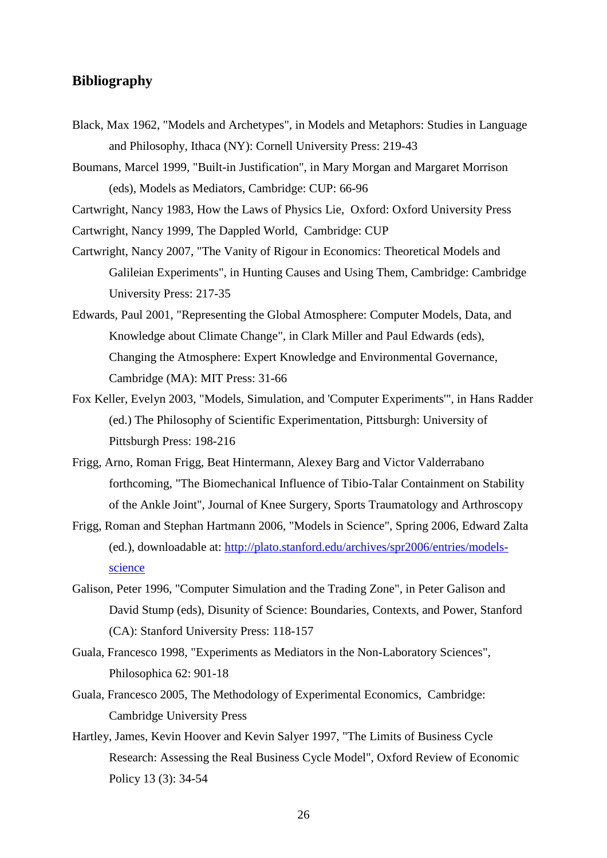#### **Bibliography**

- Black, Max 1962, "Models and Archetypes", in Models and Metaphors: Studies in Language and Philosophy, Ithaca (NY): Cornell University Press: 219-43
- Boumans, Marcel 1999, "Built-in Justification", in Mary Morgan and Margaret Morrison (eds), Models as Mediators, Cambridge: CUP: 66-96

Cartwright, Nancy 1983, How the Laws of Physics Lie, Oxford: Oxford University Press

- Cartwright, Nancy 1999, The Dappled World, Cambridge: CUP
- Cartwright, Nancy 2007, "The Vanity of Rigour in Economics: Theoretical Models and Galileian Experiments", in Hunting Causes and Using Them, Cambridge: Cambridge University Press: 217-35
- Edwards, Paul 2001, "Representing the Global Atmosphere: Computer Models, Data, and Knowledge about Climate Change", in Clark Miller and Paul Edwards (eds), Changing the Atmosphere: Expert Knowledge and Environmental Governance, Cambridge (MA): MIT Press: 31-66
- Fox Keller, Evelyn 2003, "Models, Simulation, and 'Computer Experiments'", in Hans Radder (ed.) The Philosophy of Scientific Experimentation, Pittsburgh: University of Pittsburgh Press: 198-216
- Frigg, Arno, Roman Frigg, Beat Hintermann, Alexey Barg and Victor Valderrabano forthcoming, "The Biomechanical Influence of Tibio-Talar Containment on Stability of the Ankle Joint", Journal of Knee Surgery, Sports Traumatology and Arthroscopy
- Frigg, Roman and Stephan Hartmann 2006, "Models in Science", Spring 2006, Edward Zalta (ed.), downloadable at: http://plato.stanford.edu/archives/spr2006/entries/modelsscience
- Galison, Peter 1996, "Computer Simulation and the Trading Zone", in Peter Galison and David Stump (eds), Disunity of Science: Boundaries, Contexts, and Power, Stanford (CA): Stanford University Press: 118-157
- Guala, Francesco 1998, "Experiments as Mediators in the Non-Laboratory Sciences", Philosophica 62: 901-18
- Guala, Francesco 2005, The Methodology of Experimental Economics, Cambridge: Cambridge University Press
- Hartley, James, Kevin Hoover and Kevin Salyer 1997, "The Limits of Business Cycle Research: Assessing the Real Business Cycle Model", Oxford Review of Economic Policy 13 (3): 34-54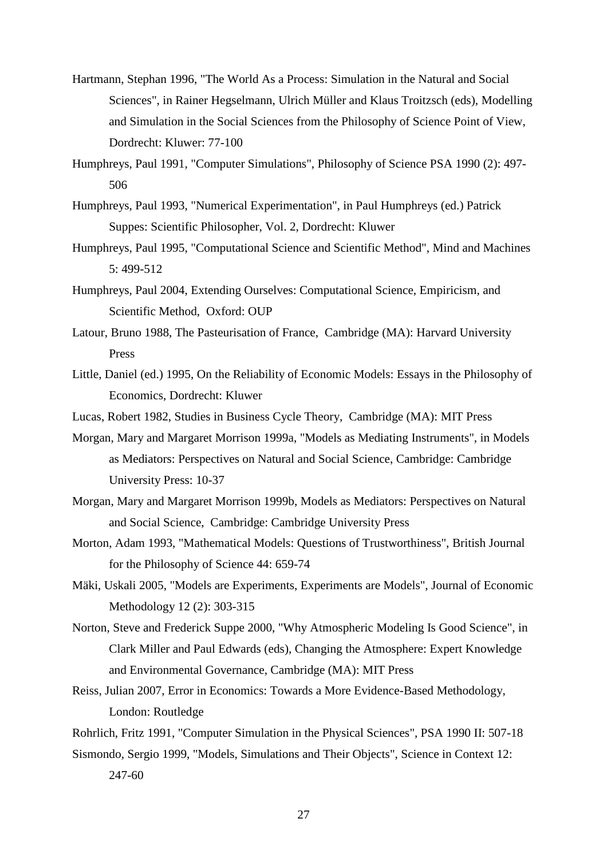- Hartmann, Stephan 1996, "The World As a Process: Simulation in the Natural and Social Sciences", in Rainer Hegselmann, Ulrich Müller and Klaus Troitzsch (eds), Modelling and Simulation in the Social Sciences from the Philosophy of Science Point of View, Dordrecht: Kluwer: 77-100
- Humphreys, Paul 1991, "Computer Simulations", Philosophy of Science PSA 1990 (2): 497- 506
- Humphreys, Paul 1993, "Numerical Experimentation", in Paul Humphreys (ed.) Patrick Suppes: Scientific Philosopher, Vol. 2, Dordrecht: Kluwer
- Humphreys, Paul 1995, "Computational Science and Scientific Method", Mind and Machines 5: 499-512
- Humphreys, Paul 2004, Extending Ourselves: Computational Science, Empiricism, and Scientific Method, Oxford: OUP
- Latour, Bruno 1988, The Pasteurisation of France, Cambridge (MA): Harvard University Press
- Little, Daniel (ed.) 1995, On the Reliability of Economic Models: Essays in the Philosophy of Economics, Dordrecht: Kluwer
- Lucas, Robert 1982, Studies in Business Cycle Theory, Cambridge (MA): MIT Press
- Morgan, Mary and Margaret Morrison 1999a, "Models as Mediating Instruments", in Models as Mediators: Perspectives on Natural and Social Science, Cambridge: Cambridge University Press: 10-37
- Morgan, Mary and Margaret Morrison 1999b, Models as Mediators: Perspectives on Natural and Social Science, Cambridge: Cambridge University Press
- Morton, Adam 1993, "Mathematical Models: Questions of Trustworthiness", British Journal for the Philosophy of Science 44: 659-74
- Mäki, Uskali 2005, "Models are Experiments, Experiments are Models", Journal of Economic Methodology 12 (2): 303-315
- Norton, Steve and Frederick Suppe 2000, "Why Atmospheric Modeling Is Good Science", in Clark Miller and Paul Edwards (eds), Changing the Atmosphere: Expert Knowledge and Environmental Governance, Cambridge (MA): MIT Press
- Reiss, Julian 2007, Error in Economics: Towards a More Evidence-Based Methodology, London: Routledge

Rohrlich, Fritz 1991, "Computer Simulation in the Physical Sciences", PSA 1990 II: 507-18

Sismondo, Sergio 1999, "Models, Simulations and Their Objects", Science in Context 12:

247-60